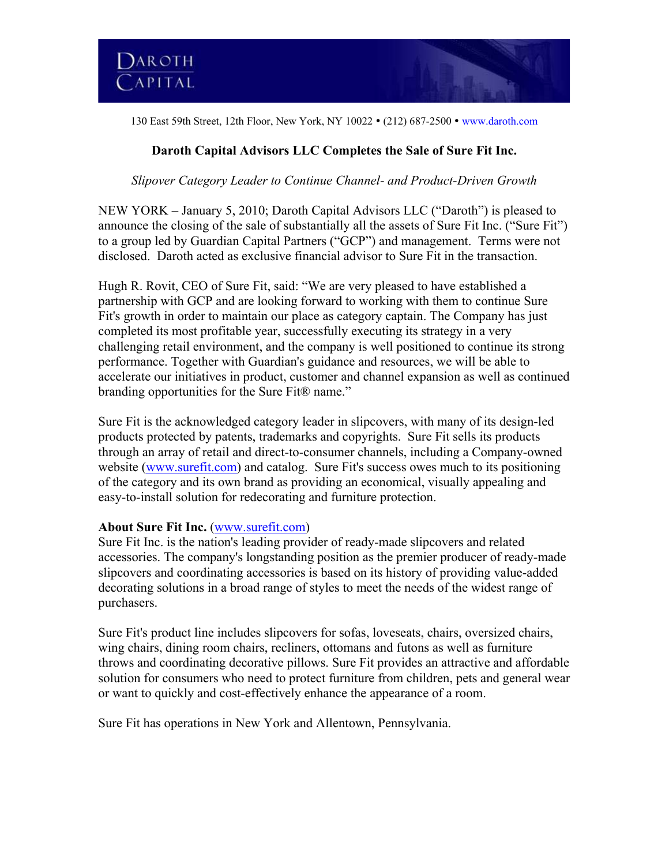130 East 59th Street, 12th Floor, New York, NY 10022 • (212) 687-2500 • www.daroth.com

# **Daroth Capital Advisors LLC Completes the Sale of Sure Fit Inc.**

### *Slipover Category Leader to Continue Channel- and Product-Driven Growth*

NEW YORK – January 5, 2010; Daroth Capital Advisors LLC ("Daroth") is pleased to announce the closing of the sale of substantially all the assets of Sure Fit Inc. ("Sure Fit") to a group led by Guardian Capital Partners ("GCP") and management. Terms were not disclosed. Daroth acted as exclusive financial advisor to Sure Fit in the transaction.

Hugh R. Rovit, CEO of Sure Fit, said: "We are very pleased to have established a partnership with GCP and are looking forward to working with them to continue Sure Fit's growth in order to maintain our place as category captain. The Company has just completed its most profitable year, successfully executing its strategy in a very challenging retail environment, and the company is well positioned to continue its strong performance. Together with Guardian's guidance and resources, we will be able to accelerate our initiatives in product, customer and channel expansion as well as continued branding opportunities for the Sure Fit® name."

Sure Fit is the acknowledged category leader in slipcovers, with many of its design-led products protected by patents, trademarks and copyrights. Sure Fit sells its products through an array of retail and direct-to-consumer channels, including a Company-owned website (www.surefit.com) and catalog. Sure Fit's success owes much to its positioning of the category and its own brand as providing an economical, visually appealing and easy-to-install solution for redecorating and furniture protection.

### **About Sure Fit Inc.** (www.surefit.com)

Sure Fit Inc. is the nation's leading provider of ready-made slipcovers and related accessories. The company's longstanding position as the premier producer of ready-made slipcovers and coordinating accessories is based on its history of providing value-added decorating solutions in a broad range of styles to meet the needs of the widest range of purchasers.

Sure Fit's product line includes slipcovers for sofas, loveseats, chairs, oversized chairs, wing chairs, dining room chairs, recliners, ottomans and futons as well as furniture throws and coordinating decorative pillows. Sure Fit provides an attractive and affordable solution for consumers who need to protect furniture from children, pets and general wear or want to quickly and cost-effectively enhance the appearance of a room.

Sure Fit has operations in New York and Allentown, Pennsylvania.